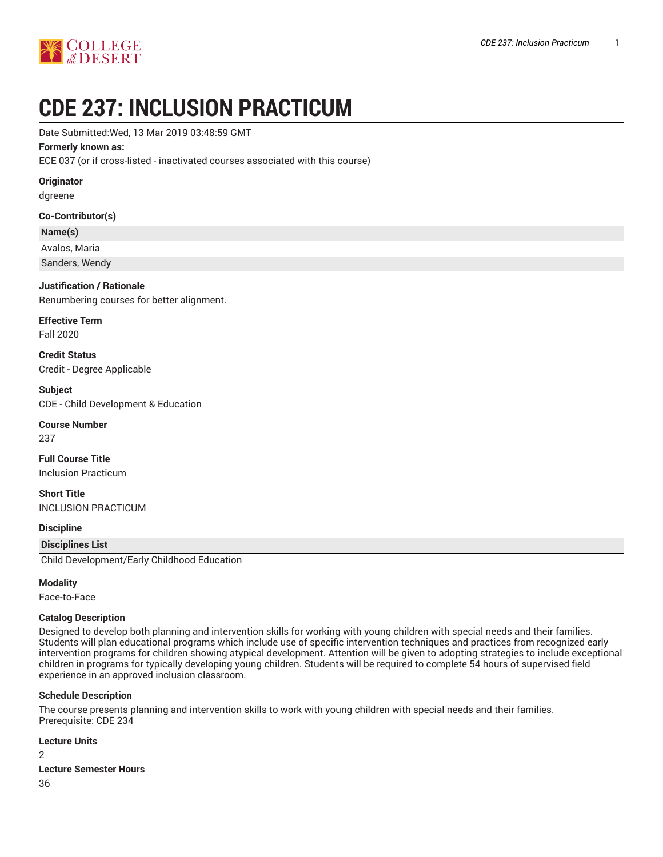

# **CDE 237: INCLUSION PRACTICUM**

Date Submitted:Wed, 13 Mar 2019 03:48:59 GMT

#### **Formerly known as:**

ECE 037 (or if cross-listed - inactivated courses associated with this course)

**Originator**

dgreene

#### **Co-Contributor(s)**

#### **Name(s)**

Avalos, Maria

Sanders, Wendy

#### **Justification / Rationale**

Renumbering courses for better alignment.

**Effective Term** Fall 2020

**Credit Status** Credit - Degree Applicable

**Subject** CDE - Child Development & Education

**Course Number**

237

**Full Course Title** Inclusion Practicum

**Short Title** INCLUSION PRACTICUM

#### **Discipline**

#### **Disciplines List**

Child Development/Early Childhood Education

#### **Modality**

Face-to-Face

#### **Catalog Description**

Designed to develop both planning and intervention skills for working with young children with special needs and their families. Students will plan educational programs which include use of specific intervention techniques and practices from recognized early intervention programs for children showing atypical development. Attention will be given to adopting strategies to include exceptional children in programs for typically developing young children. Students will be required to complete 54 hours of supervised field experience in an approved inclusion classroom.

#### **Schedule Description**

The course presents planning and intervention skills to work with young children with special needs and their families. Prerequisite: CDE 234

#### **Lecture Units**

 $\mathfrak{D}$ 

**Lecture Semester Hours**

36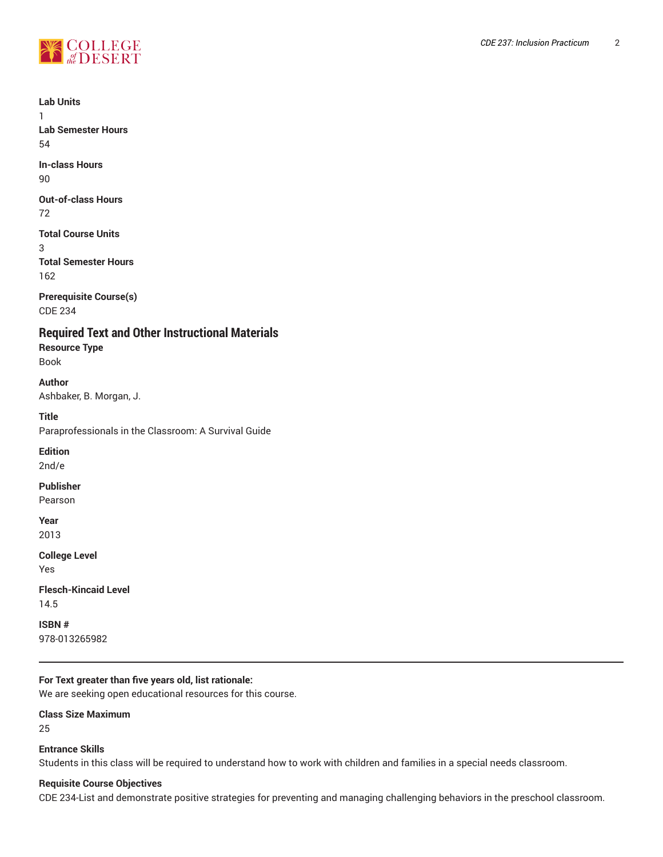

**Lab Units**

1 **Lab Semester Hours** 54

**In-class Hours** 90

**Out-of-class Hours** 72

**Total Course Units** 3 **Total Semester Hours** 162

**Prerequisite Course(s)** CDE 234

**Required Text and Other Instructional Materials Resource Type**

Book

**Author** Ashbaker, B. Morgan, J.

**Title** Paraprofessionals in the Classroom: A Survival Guide

**Edition** 2nd/e

**Publisher**

Pearson

**Year** 2013

**College Level** Yes

**Flesch-Kincaid Level** 14.5

**ISBN #** 978-013265982

# **For Text greater than five years old, list rationale:**

We are seeking open educational resources for this course.

# **Class Size Maximum**

25

# **Entrance Skills**

Students in this class will be required to understand how to work with children and families in a special needs classroom.

# **Requisite Course Objectives**

CDE 234-List and demonstrate positive strategies for preventing and managing challenging behaviors in the preschool classroom.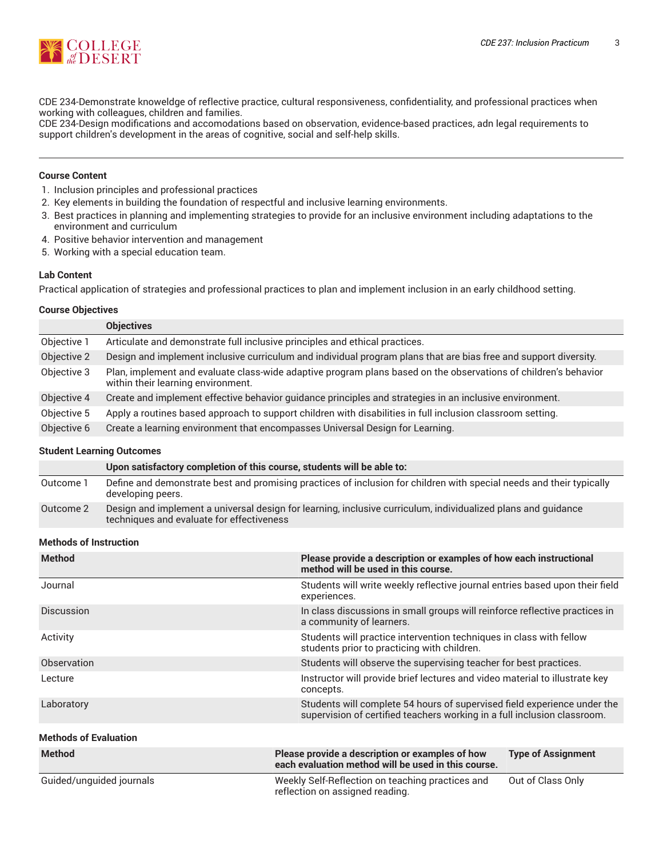

CDE 234-Demonstrate knoweldge of reflective practice, cultural responsiveness, confidentiality, and professional practices when working with colleagues, children and families.

CDE 234-Design modifications and accomodations based on observation, evidence-based practices, adn legal requirements to support children's development in the areas of cognitive, social and self-help skills.

#### **Course Content**

- 1. Inclusion principles and professional practices
- 2. Key elements in building the foundation of respectful and inclusive learning environments.
- 3. Best practices in planning and implementing strategies to provide for an inclusive environment including adaptations to the environment and curriculum
- 4. Positive behavior intervention and management
- 5. Working with a special education team.

#### **Lab Content**

Practical application of strategies and professional practices to plan and implement inclusion in an early childhood setting.

#### **Course Objectives**

|             | <b>Objectives</b>                                                                                                                                     |
|-------------|-------------------------------------------------------------------------------------------------------------------------------------------------------|
| Objective 1 | Articulate and demonstrate full inclusive principles and ethical practices.                                                                           |
| Objective 2 | Design and implement inclusive curriculum and individual program plans that are bias free and support diversity.                                      |
| Objective 3 | Plan, implement and evaluate class-wide adaptive program plans based on the observations of children's behavior<br>within their learning environment. |
| Objective 4 | Create and implement effective behavior guidance principles and strategies in an inclusive environment.                                               |
| Objective 5 | Apply a routines based approach to support children with disabilities in full inclusion classroom setting.                                            |
| Objective 6 | Create a learning environment that encompasses Universal Design for Learning.                                                                         |

#### **Student Learning Outcomes**

|           | Upon satisfactory completion of this course, students will be able to:                                                                                     |
|-----------|------------------------------------------------------------------------------------------------------------------------------------------------------------|
| Outcome 1 | Define and demonstrate best and promising practices of inclusion for children with special needs and their typically<br>developing peers.                  |
| Outcome 2 | Design and implement a universal design for learning, inclusive curriculum, individualized plans and guidance<br>techniques and evaluate for effectiveness |

#### **Methods of Instruction**

| <b>Method</b>                | Please provide a description or examples of how each instructional<br>method will be used in this course.                                            |                           |
|------------------------------|------------------------------------------------------------------------------------------------------------------------------------------------------|---------------------------|
| Journal                      | Students will write weekly reflective journal entries based upon their field<br>experiences.                                                         |                           |
| Discussion                   | In class discussions in small groups will reinforce reflective practices in<br>a community of learners.                                              |                           |
| Activity                     | Students will practice intervention techniques in class with fellow<br>students prior to practicing with children.                                   |                           |
| Observation                  | Students will observe the supervising teacher for best practices.                                                                                    |                           |
| Lecture                      | Instructor will provide brief lectures and video material to illustrate key<br>concepts.                                                             |                           |
| Laboratory                   | Students will complete 54 hours of supervised field experience under the<br>supervision of certified teachers working in a full inclusion classroom. |                           |
| <b>Methods of Evaluation</b> |                                                                                                                                                      |                           |
| <b>Method</b>                | Please provide a description or examples of how<br>each evaluation method will be used in this course.                                               | <b>Type of Assignment</b> |
| Guided/unguided journals     | Weekly Self-Reflection on teaching practices and<br>reflection on assigned reading.                                                                  | Out of Class Only         |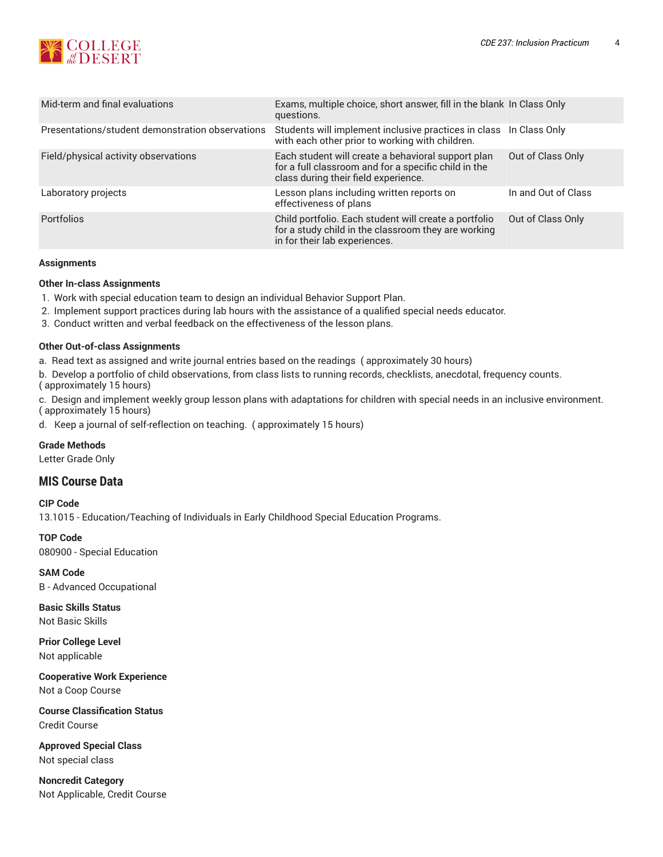

| Mid-term and final evaluations                   | Exams, multiple choice, short answer, fill in the blank In Class Only<br>questions.                                                                |                     |
|--------------------------------------------------|----------------------------------------------------------------------------------------------------------------------------------------------------|---------------------|
| Presentations/student demonstration observations | Students will implement inclusive practices in class In Class Only<br>with each other prior to working with children.                              |                     |
| Field/physical activity observations             | Each student will create a behavioral support plan<br>for a full classroom and for a specific child in the<br>class during their field experience. | Out of Class Only   |
| Laboratory projects                              | Lesson plans including written reports on<br>effectiveness of plans                                                                                | In and Out of Class |
| <b>Portfolios</b>                                | Child portfolio. Each student will create a portfolio<br>for a study child in the classroom they are working<br>in for their lab experiences.      | Out of Class Only   |

#### **Assignments**

#### **Other In-class Assignments**

- 1. Work with special education team to design an individual Behavior Support Plan.
- 2. Implement support practices during lab hours with the assistance of a qualified special needs educator.
- 3. Conduct written and verbal feedback on the effectiveness of the lesson plans.

#### **Other Out-of-class Assignments**

- a. Read text as assigned and write journal entries based on the readings ( approximately 30 hours)
- b. Develop a portfolio of child observations, from class lists to running records, checklists, anecdotal, frequency counts. ( approximately 15 hours)
- c. Design and implement weekly group lesson plans with adaptations for children with special needs in an inclusive environment. ( approximately 15 hours)
- d. Keep a journal of self-reflection on teaching. ( approximately 15 hours)

#### **Grade Methods**

Letter Grade Only

# **MIS Course Data**

# **CIP Code**

13.1015 - Education/Teaching of Individuals in Early Childhood Special Education Programs.

**TOP Code** 080900 - Special Education

**SAM Code** B - Advanced Occupational

**Basic Skills Status** Not Basic Skills

**Prior College Level** Not applicable

**Cooperative Work Experience** Not a Coop Course

**Course Classification Status** Credit Course

**Approved Special Class** Not special class

**Noncredit Category** Not Applicable, Credit Course